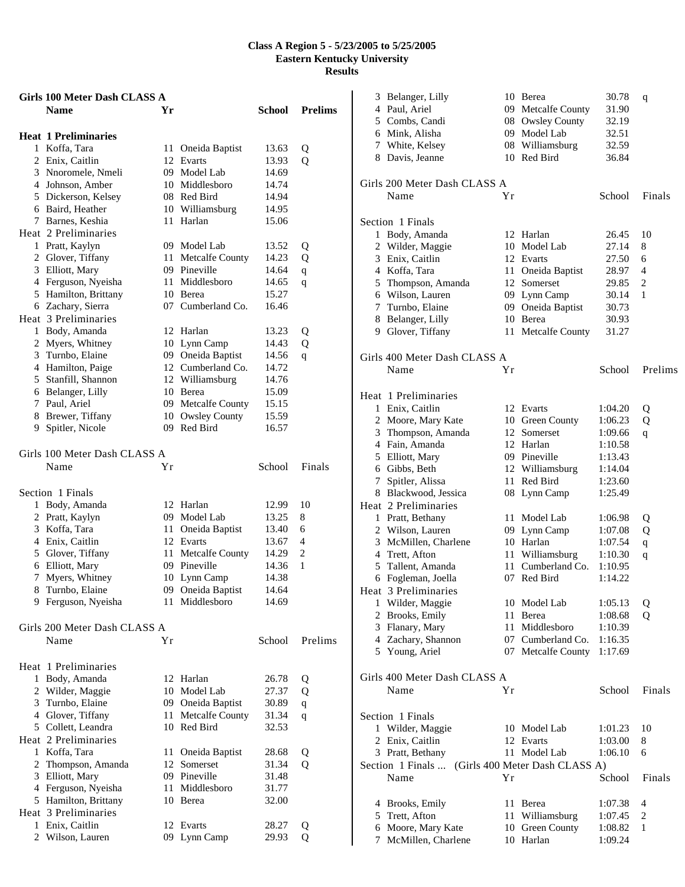|                | Girls 100 Meter Dash CLASS A         |     |                                 |                |                     |
|----------------|--------------------------------------|-----|---------------------------------|----------------|---------------------|
|                | <b>Name</b>                          | Yr  |                                 | School         | <b>Prelims</b>      |
|                | <b>Heat 1 Preliminaries</b>          |     |                                 |                |                     |
|                | 1 Koffa, Tara                        |     | 11 Oneida Baptist               | 13.63          | Q                   |
|                | 2 Enix, Caitlin                      |     | 12 Evarts                       | 13.93          | Q                   |
|                | 3 Nnoromele, Nmeli                   |     | 09 Model Lab                    | 14.69          |                     |
|                | 4 Johnson, Amber                     |     | 10 Middlesboro                  | 14.74          |                     |
|                | 5 Dickerson, Kelsey                  |     | 08 Red Bird                     | 14.94          |                     |
|                | 6 Baird, Heather                     |     | 10 Williamsburg                 | 14.95          |                     |
|                | 7 Barnes, Keshia                     |     | 11 Harlan                       | 15.06          |                     |
|                | Heat 2 Preliminaries                 |     |                                 |                |                     |
|                | 1 Pratt, Kaylyn                      |     | 09 Model Lab                    | 13.52          | Q                   |
|                | 2 Glover, Tiffany                    | 11  | <b>Metcalfe County</b>          | 14.23          | Q                   |
|                | 3 Elliott, Mary                      |     | 09 Pineville                    | 14.64          | $\mathbf q$         |
|                | 4 Ferguson, Nyeisha                  |     | 11 Middlesboro                  | 14.65          | q                   |
|                | 5 Hamilton, Brittany                 |     | 10 Berea                        | 15.27          |                     |
|                | 6 Zachary, Sierra                    |     | 07 Cumberland Co.               | 16.46          |                     |
|                | Heat 3 Preliminaries                 |     |                                 |                |                     |
|                | 1 Body, Amanda                       |     | 12 Harlan                       | 13.23          | Q                   |
|                | 2 Myers, Whitney                     |     | 10 Lynn Camp                    | 14.43          | Q                   |
|                | 3 Turnbo, Elaine                     |     | 09 Oneida Baptist               | 14.56          | q                   |
|                | 4 Hamilton, Paige                    |     | 12 Cumberland Co.               | 14.72          |                     |
|                | 5 Stanfill, Shannon                  |     | 12 Williamsburg                 | 14.76          |                     |
|                | 6 Belanger, Lilly                    |     | 10 Berea                        | 15.09          |                     |
|                | 7 Paul, Ariel                        |     | 09 Metcalfe County              | 15.15          |                     |
|                | 8 Brewer, Tiffany                    |     | 10 Owsley County                | 15.59          |                     |
|                | 9 Spitler, Nicole                    |     | 09 Red Bird                     | 16.57          |                     |
|                | Girls 100 Meter Dash CLASS A<br>Name | Υr  |                                 | School         | Finals              |
|                |                                      |     |                                 |                |                     |
|                | Section 1 Finals                     |     | 12 Harlan                       |                | 10                  |
|                | 1 Body, Amanda<br>2 Pratt, Kaylyn    |     |                                 | 12.99          |                     |
|                |                                      |     | 09 Model Lab                    | 13.25          | 8                   |
|                | 3 Koffa, Tara<br>4 Enix, Caitlin     |     | 11 Oneida Baptist<br>12 Evarts  | 13.40          | 6<br>$\overline{4}$ |
|                |                                      |     |                                 | 13.67<br>14.29 | 2                   |
|                | 5 Glover, Tiffany                    | 11  | Metcalfe County<br>09 Pineville | 14.36          | 1                   |
|                | 6 Elliott, Mary<br>7 Myers, Whitney  |     |                                 | 14.38          |                     |
|                | 8 Turnbo, Elaine                     |     | 10 Lynn Camp                    |                |                     |
|                |                                      |     | 09 Oneida Baptist               | 14.64          |                     |
|                | 9 Ferguson, Nyeisha                  |     | 11 Middlesboro                  | 14.69          |                     |
|                | Girls 200 Meter Dash CLASS A         |     |                                 |                |                     |
|                | Name                                 | Υr  |                                 | School         | Prelims             |
|                | Heat 1 Preliminaries                 |     |                                 |                |                     |
|                | 1 Body, Amanda                       |     | 12 Harlan                       | 26.78          | Q                   |
|                | 2 Wilder, Maggie                     |     | 10 Model Lab                    | 27.37          | Q                   |
|                | 3 Turnbo, Elaine                     |     | 09 Oneida Baptist               | 30.89          | $\mathbf q$         |
|                | 4 Glover, Tiffany                    | 11  | Metcalfe County                 | 31.34          | q                   |
|                | 5 Collett, Leandra                   |     | 10 Red Bird                     | 32.53          |                     |
|                | Heat 2 Preliminaries                 |     |                                 |                |                     |
|                | 1 Koffa, Tara                        | 11. | Oneida Baptist                  | 28.68          | Q                   |
|                | 2 Thompson, Amanda                   |     | 12 Somerset                     | 31.34          | Q                   |
|                | 3 Elliott, Mary                      |     | 09 Pineville                    | 31.48          |                     |
|                | 4 Ferguson, Nyeisha                  | 11  | Middlesboro                     | 31.77          |                     |
|                | 5 Hamilton, Brittany                 | 10  | Berea                           | 32.00          |                     |
|                | Heat 3 Preliminaries                 |     |                                 |                |                     |
|                | 1 Enix, Caitlin                      |     | 12 Evarts                       | 28.27          |                     |
| $\overline{2}$ | Wilson, Lauren                       | 09  | Lynn Camp                       | 29.93          | Q<br>Q              |
|                |                                      |     |                                 |                |                     |

|   | 3 Belanger, Lilly<br>4 Paul, Ariel<br>5 Combs, Candi<br>6 Mink, Alisha<br>7 White, Kelsey<br>8 Davis, Jeanne |    | 10 Berea<br>09 Metcalfe County<br>08 Owsley County<br>09 Model Lab<br>08 Williamsburg<br>10 Red Bird | 30.78<br>31.90<br>32.19<br>32.51<br>32.59<br>36.84 | q              |
|---|--------------------------------------------------------------------------------------------------------------|----|------------------------------------------------------------------------------------------------------|----------------------------------------------------|----------------|
|   | Girls 200 Meter Dash CLASS A<br>Name                                                                         | Υr |                                                                                                      | School                                             | Finals         |
|   |                                                                                                              |    |                                                                                                      |                                                    |                |
|   | Section 1 Finals                                                                                             |    |                                                                                                      |                                                    |                |
|   | 1 Body, Amanda                                                                                               |    | 12 Harlan<br>10 Model Lab                                                                            | 26.45<br>27.14                                     | 10             |
|   | 2 Wilder, Maggie<br>3 Enix, Caitlin                                                                          |    | 12 Evarts                                                                                            | 27.50                                              | 8<br>6         |
|   | 4 Koffa, Tara                                                                                                |    | 11 Oneida Baptist                                                                                    | 28.97                                              | 4              |
|   | 5 Thompson, Amanda                                                                                           |    | 12 Somerset                                                                                          | 29.85                                              | $\overline{c}$ |
|   | 6 Wilson, Lauren                                                                                             |    | 09 Lynn Camp                                                                                         | 30.14                                              | 1              |
|   | 7 Turnbo, Elaine                                                                                             | 09 | Oneida Baptist                                                                                       | 30.73                                              |                |
|   | 8 Belanger, Lilly                                                                                            |    | 10 Berea                                                                                             | 30.93                                              |                |
|   | 9 Glover, Tiffany                                                                                            | 11 | <b>Metcalfe County</b>                                                                               | 31.27                                              |                |
|   | Girls 400 Meter Dash CLASS A                                                                                 |    |                                                                                                      |                                                    |                |
|   | Name                                                                                                         | Yr |                                                                                                      | School                                             | Prelims        |
|   | Heat 1 Preliminaries                                                                                         |    |                                                                                                      |                                                    |                |
|   | 1 Enix, Caitlin                                                                                              |    | 12 Evarts                                                                                            | 1:04.20                                            | Q              |
|   | 2 Moore, Mary Kate                                                                                           |    | 10 Green County                                                                                      | 1:06.23                                            | Q              |
|   | 3 Thompson, Amanda                                                                                           |    | 12 Somerset                                                                                          | 1:09.66                                            | q              |
|   | 4 Fain, Amanda                                                                                               |    | 12 Harlan                                                                                            | 1:10.58                                            |                |
|   | 5 Elliott, Mary                                                                                              |    | 09 Pineville                                                                                         | 1:13.43                                            |                |
|   | 6 Gibbs, Beth                                                                                                |    | 12 Williamsburg                                                                                      | 1:14.04                                            |                |
|   | 7 Spitler, Alissa                                                                                            | 11 | Red Bird                                                                                             | 1:23.60                                            |                |
|   | 8 Blackwood, Jessica                                                                                         |    | 08 Lynn Camp                                                                                         | 1:25.49                                            |                |
|   | Heat 2 Preliminaries                                                                                         |    |                                                                                                      |                                                    |                |
|   | 1 Pratt, Bethany                                                                                             | 11 | Model Lab                                                                                            | 1:06.98                                            | Q              |
|   | 2 Wilson, Lauren                                                                                             | 09 | Lynn Camp                                                                                            | 1:07.08                                            | Q              |
|   | 3 McMillen, Charlene                                                                                         |    | 10 Harlan                                                                                            | 1:07.54                                            | $\mathbf q$    |
|   | 4 Trett, Afton                                                                                               | 11 | Williamsburg                                                                                         | 1:10.30                                            | q              |
|   | 5 Tallent, Amanda                                                                                            | 11 | Cumberland Co.                                                                                       | 1:10.95                                            |                |
|   | 6 Fogleman, Joella                                                                                           |    | 07 Red Bird                                                                                          | 1:14.22                                            |                |
|   | Heat 3 Preliminaries                                                                                         |    |                                                                                                      |                                                    |                |
|   | 1 Wilder, Maggie                                                                                             | 10 | Model Lab                                                                                            | 1:05.13                                            | Q              |
|   | 2 Brooks, Emily                                                                                              | 11 | Berea                                                                                                | 1:08.68                                            | Q              |
|   | 3 Flanary, Mary                                                                                              | 11 | Middlesboro                                                                                          | 1:10.39                                            |                |
|   | 4 Zachary, Shannon                                                                                           |    | 07 Cumberland Co.                                                                                    | 1:16.35                                            |                |
|   | 5 Young, Ariel                                                                                               |    | 07 Metcalfe County                                                                                   | 1:17.69                                            |                |
|   | Girls 400 Meter Dash CLASS A                                                                                 |    |                                                                                                      |                                                    |                |
|   | Name                                                                                                         | Υr |                                                                                                      | School                                             | Finals         |
|   | Section 1 Finals                                                                                             |    |                                                                                                      |                                                    |                |
|   | 1 Wilder, Maggie                                                                                             |    | 10 Model Lab                                                                                         | 1:01.23                                            | 10             |
|   | 2 Enix, Caitlin                                                                                              |    | 12 Evarts                                                                                            | 1:03.00                                            | 8              |
|   | 3 Pratt, Bethany                                                                                             | 11 | Model Lab                                                                                            | 1:06.10                                            | 6              |
|   | Section 1 Finals                                                                                             |    | (Girls 400 Meter Dash CLASS A)                                                                       |                                                    |                |
|   | Name                                                                                                         | Yr |                                                                                                      | School                                             | Finals         |
|   | 4 Brooks, Emily                                                                                              | 11 | Berea                                                                                                | 1:07.38                                            | 4              |
|   | 5 Trett, Afton                                                                                               | 11 | Williamsburg                                                                                         | 1:07.45                                            | 2              |
|   | 6 Moore, Mary Kate                                                                                           |    | 10 Green County                                                                                      | 1:08.82                                            | 1              |
| 7 | McMillen, Charlene                                                                                           |    | 10 Harlan                                                                                            | 1:09.24                                            |                |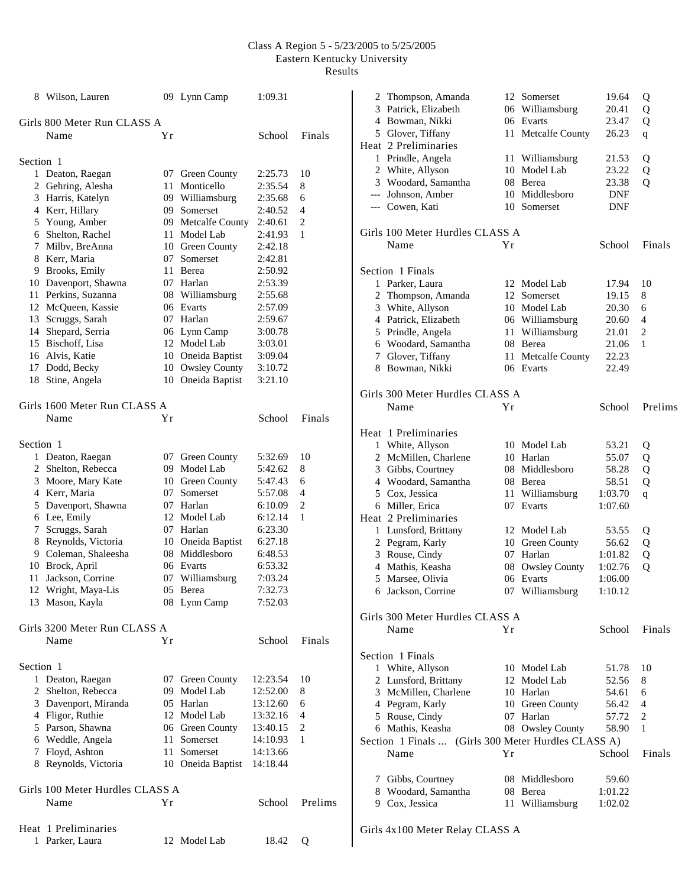$\overline{\phantom{a}}$ 

|           | 8 Wilson, Lauren                      |    | 09 Lynn Camp       | 1:09.31  |                |
|-----------|---------------------------------------|----|--------------------|----------|----------------|
|           | Girls 800 Meter Run CLASS A           |    |                    |          |                |
|           | Name                                  | Υr |                    | School   | Finals         |
| Section 1 |                                       |    |                    |          |                |
|           |                                       |    | 07 Green County    | 2:25.73  | 10             |
|           | 1 Deaton, Raegan<br>2 Gehring, Alesha |    | 11 Monticello      | 2:35.54  | 8              |
|           |                                       |    |                    | 2:35.68  |                |
|           | 3 Harris, Katelyn                     |    | 09 Williamsburg    |          | 6              |
|           | 4 Kerr, Hillary                       |    | 09 Somerset        | 2:40.52  | 4              |
|           | 5 Young, Amber                        |    | 09 Metcalfe County | 2:40.61  | $\overline{c}$ |
|           | 6 Shelton, Rachel                     |    | 11 Model Lab       | 2:41.93  | 1              |
|           | 7 Milbv, BreAnna                      |    | 10 Green County    | 2:42.18  |                |
|           | 8 Kerr, Maria                         | 07 | Somerset           | 2:42.81  |                |
|           | 9 Brooks, Emily                       | 11 | Berea              | 2:50.92  |                |
|           | 10 Davenport, Shawna                  |    | 07 Harlan          | 2:53.39  |                |
|           | 11 Perkins, Suzanna                   |    | 08 Williamsburg    | 2:55.68  |                |
|           | 12 McQueen, Kassie                    |    | 06 Evarts          | 2:57.09  |                |
|           | 13 Scruggs, Sarah                     | 07 | Harlan             | 2:59.67  |                |
|           | 14 Shepard, Serria                    |    | 06 Lynn Camp       | 3:00.78  |                |
|           | 15 Bischoff, Lisa                     |    | 12 Model Lab       | 3:03.01  |                |
|           | 16 Alvis, Katie                       |    | 10 Oneida Baptist  | 3:09.04  |                |
|           | 17 Dodd, Becky                        |    | 10 Owsley County   | 3:10.72  |                |
|           | 18 Stine, Angela                      |    | 10 Oneida Baptist  | 3:21.10  |                |
|           |                                       |    |                    |          |                |
|           | Girls 1600 Meter Run CLASS A          |    |                    |          |                |
|           | Name                                  | Υr |                    | School   | Finals         |
| Section 1 |                                       |    |                    |          |                |
|           | 1 Deaton, Raegan                      |    | 07 Green County    | 5:32.69  | 10             |
|           | 2 Shelton, Rebecca                    |    | 09 Model Lab       | 5:42.62  | 8              |
|           | 3 Moore, Mary Kate                    |    | 10 Green County    | 5:47.43  | 6              |
|           | 4 Kerr, Maria                         | 07 | Somerset           | 5:57.08  | 4              |
|           | 5 Davenport, Shawna                   | 07 | Harlan             | 6:10.09  | 2              |
|           | 6 Lee, Emily                          |    | 12 Model Lab       | 6:12.14  | 1              |
|           | 7 Scruggs, Sarah                      |    | 07 Harlan          | 6:23.30  |                |
|           | 8 Reynolds, Victoria                  |    | 10 Oneida Baptist  | 6:27.18  |                |
|           | 9 Coleman, Shaleesha                  | 08 | Middlesboro        | 6:48.53  |                |
|           | 10 Brock, April                       |    | 06 Evarts          | 6:53.32  |                |
| 11        | Jackson, Corrine                      | 07 | Williamsburg       | 7:03.24  |                |
|           | 12 Wright, Maya-Lis                   |    | 05 Berea           | 7:32.73  |                |
|           | 13 Mason, Kayla                       |    | 08 Lynn Camp       | 7:52.03  |                |
|           |                                       |    |                    |          |                |
|           | Girls 3200 Meter Run CLASS A          |    |                    |          |                |
|           | Name                                  | Υr |                    | School   | Finals         |
| Section 1 |                                       |    |                    |          |                |
|           | 1 Deaton, Raegan                      |    | 07 Green County    | 12:23.54 | 10             |
|           | 2 Shelton, Rebecca                    |    | 09 Model Lab       | 12:52.00 | 8              |
|           | 3 Davenport, Miranda                  |    | 05 Harlan          | 13:12.60 | 6              |
|           | 4 Fligor, Ruthie                      |    | 12 Model Lab       | 13:32.16 | 4              |
|           | 5 Parson, Shawna                      |    | 06 Green County    | 13:40.15 | 2              |
|           | 6 Weddle, Angela                      | 11 | Somerset           | 14:10.93 | 1              |
|           | 7 Floyd, Ashton                       | 11 | Somerset           | 14:13.66 |                |
|           | 8 Reynolds, Victoria                  |    | 10 Oneida Baptist  | 14:18.44 |                |
|           | Girls 100 Meter Hurdles CLASS A       |    |                    |          |                |
|           | Name                                  | Υr |                    | School   | Prelims        |
|           |                                       |    |                    |          |                |
|           | Heat 1 Preliminaries                  |    |                    |          |                |
| 1         | Parker, Laura                         |    | 12 Model Lab       | 18.42    | Q              |
|           |                                       |    |                    |          |                |

| 2 Thompson, Amanda                                  |    | 12 Somerset                  | 19.64              | Q              |
|-----------------------------------------------------|----|------------------------------|--------------------|----------------|
| 3 Patrick, Elizabeth                                |    | 06 Williamsburg              | 20.41              | Q              |
| 4 Bowman, Nikki                                     |    | 06 Evarts                    | 23.47              | Q              |
| 5 Glover, Tiffany<br>Heat 2 Preliminaries           |    | 11 Metcalfe County           | 26.23              | $\mathbf q$    |
| 1 Prindle, Angela                                   |    | 11 Williamsburg              | 21.53              | Q              |
| 2 White, Allyson                                    |    | 10 Model Lab                 | 23.22              | Q              |
| 3 Woodard, Samantha                                 |    | 08 Berea                     | 23.38              | Q              |
| --- Johnson, Amber                                  |    | 10 Middlesboro               | DNF                |                |
| --- Cowen, Kati                                     |    | 10 Somerset                  | DNF                |                |
| Girls 100 Meter Hurdles CLASS A                     |    |                              |                    |                |
| Name                                                | Υr |                              | School             | Finals         |
| Section 1 Finals                                    |    |                              |                    |                |
| 1 Parker, Laura                                     |    | 12 Model Lab                 | 17.94              | 10             |
| 2 Thompson, Amanda                                  |    | 12 Somerset                  | 19.15              | 8              |
| 3 White, Allyson                                    |    | 10 Model Lab                 | 20.30              | 6              |
| 4 Patrick, Elizabeth                                |    | 06 Williamsburg              | 20.60              | $\overline{4}$ |
| 5 Prindle, Angela                                   |    | 11 Williamsburg              | 21.01              | $\overline{c}$ |
| 6 Woodard, Samantha                                 |    | 08 Berea                     | 21.06              | 1              |
| 7 Glover, Tiffany                                   |    | 11 Metcalfe County           | 22.23              |                |
| 8 Bowman, Nikki                                     |    | 06 Evarts                    | 22.49              |                |
| Girls 300 Meter Hurdles CLASS A                     |    |                              |                    |                |
| Name                                                | Υr |                              | School             | Prelims        |
| Heat 1 Preliminaries                                |    |                              |                    |                |
| 1 White, Allyson                                    |    | 10 Model Lab                 | 53.21              | Q              |
| 2 McMillen, Charlene                                |    | 10 Harlan                    | 55.07              | Q              |
| 3 Gibbs, Courtney                                   |    | 08 Middlesboro               | 58.28              | Q              |
| 4 Woodard, Samantha                                 |    | 08 Berea                     | 58.51              | Q              |
| 5 Cox, Jessica                                      |    | 11 Williamsburg              | 1:03.70            | q              |
| 6 Miller, Erica                                     |    | 07 Evarts                    | 1:07.60            |                |
| Heat 2 Preliminaries                                |    |                              |                    |                |
| 1 Lunsford, Brittany                                |    | 12 Model Lab                 | 53.55              | Q              |
| 2 Pegram, Karly<br>3 Rouse, Cindy                   |    | 10 Green County<br>07 Harlan | 56.62              | Q              |
| 4 Mathis, Keasha                                    |    | 08 Owsley County             | 1:01.82<br>1:02.76 | Q<br>Q         |
| 5 Marsee, Olivia                                    |    | 06 Evarts                    | 1:06.00            |                |
| 6 Jackson, Corrine                                  |    | 07 Williamsburg              | 1:10.12            |                |
| Girls 300 Meter Hurdles CLASS A                     |    |                              |                    |                |
| Name                                                | Υr |                              | School             | Finals         |
| Section 1 Finals                                    |    |                              |                    |                |
| 1 White, Allyson                                    |    | 10 Model Lab                 | 51.78              | 10             |
| 2 Lunsford, Brittany                                |    | 12 Model Lab                 | 52.56              | 8              |
| 3 McMillen, Charlene                                |    | 10 Harlan                    | 54.61              | 6              |
| 4 Pegram, Karly                                     |    | 10 Green County              | 56.42              | 4              |
| 5 Rouse, Cindy                                      |    | 07 Harlan                    | 57.72              | 2              |
| 6 Mathis, Keasha                                    |    | 08 Owsley County             | 58.90              | 1              |
| Section 1 Finals  (Girls 300 Meter Hurdles CLASS A) |    |                              |                    |                |
| Name                                                | Yr |                              | School             | Finals         |
| 7 Gibbs, Courtney                                   |    | 08 Middlesboro               | 59.60              |                |
| 8 Woodard, Samantha                                 |    | 08 Berea                     | 1:01.22            |                |
| 9 Cox, Jessica                                      |    | 11 Williamsburg              | 1:02.02            |                |
| Girls 4x100 Meter Relay CLASS A                     |    |                              |                    |                |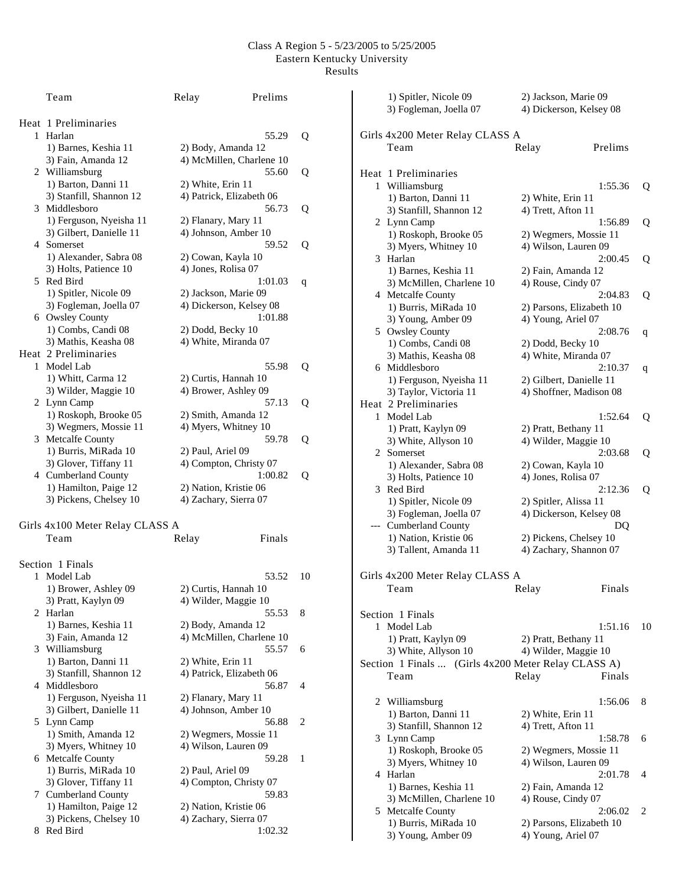|   | Team                            | Relay               | Prelims                  |    |
|---|---------------------------------|---------------------|--------------------------|----|
|   | Heat 1 Preliminaries            |                     |                          |    |
| 1 | Harlan                          |                     | 55.29                    | Q  |
|   | 1) Barnes, Keshia 11            | 2) Body, Amanda 12  |                          |    |
|   | 3) Fain, Amanda 12              |                     | 4) McMillen, Charlene 10 |    |
|   | 2 Williamsburg                  |                     | 55.60                    | Q  |
|   | 1) Barton, Danni 11             | 2) White, Erin 11   |                          |    |
|   | 3) Stanfill, Shannon 12         |                     | 4) Patrick, Elizabeth 06 |    |
| 3 | Middlesboro                     |                     | 56.73                    | Q  |
|   | 1) Ferguson, Nyeisha 11         | 2) Flanary, Mary 11 |                          |    |
|   | 3) Gilbert, Danielle 11         |                     | 4) Johnson, Amber 10     |    |
|   | 4 Somerset                      |                     | 59.52                    | Q  |
|   | 1) Alexander, Sabra 08          | 2) Cowan, Kayla 10  |                          |    |
|   | 3) Holts, Patience 10           | 4) Jones, Rolisa 07 |                          |    |
|   | 5 Red Bird                      |                     | 1:01.03                  | q  |
|   | 1) Spitler, Nicole 09           |                     | 2) Jackson, Marie 09     |    |
|   | 3) Fogleman, Joella 07          |                     | 4) Dickerson, Kelsey 08  |    |
|   | 6 Owsley County                 |                     | 1:01.88                  |    |
|   | 1) Combs, Candi 08              |                     |                          |    |
|   |                                 | 2) Dodd, Becky 10   | 4) White, Miranda 07     |    |
|   | 3) Mathis, Keasha 08            |                     |                          |    |
|   | Heat 2 Preliminaries            |                     |                          |    |
| 1 | Model Lab                       |                     | 55.98                    | Q  |
|   | 1) Whitt, Carma 12              |                     | 2) Curtis, Hannah 10     |    |
|   | 3) Wilder, Maggie 10            |                     | 4) Brower, Ashley 09     |    |
|   | 2 Lynn Camp                     |                     | 57.13                    | Q  |
|   | 1) Roskoph, Brooke 05           |                     | 2) Smith, Amanda 12      |    |
|   | 3) Wegmers, Mossie 11           |                     | 4) Myers, Whitney 10     |    |
|   | 3 Metcalfe County               |                     | 59.78                    | Q  |
|   | 1) Burris, MiRada 10            | 2) Paul, Ariel 09   |                          |    |
|   | 3) Glover, Tiffany 11           |                     | 4) Compton, Christy 07   |    |
|   | 4 Cumberland County             |                     | 1:00.82                  | Q  |
|   | 1) Hamilton, Paige 12           |                     | 2) Nation, Kristie 06    |    |
|   | 3) Pickens, Chelsey 10          |                     | 4) Zachary, Sierra 07    |    |
|   | Girls 4x100 Meter Relay CLASS A |                     |                          |    |
|   | Team                            | Relay               | Finals                   |    |
|   |                                 |                     |                          |    |
|   | Section 1 Finals                |                     |                          |    |
|   | 1 Model Lab                     |                     | 53.52                    | 10 |
|   | 1) Brower, Ashley 09            |                     | 2) Curtis, Hannah 10     |    |
|   | 3) Pratt, Kaylyn 09             |                     | 4) Wilder, Maggie 10     |    |
| 2 | Harlan                          |                     | 55.53                    | 8  |
|   | 1) Barnes, Keshia 11            | 2) Body, Amanda 12  |                          |    |
|   | 3) Fain, Amanda 12              |                     | 4) McMillen, Charlene 10 |    |
| 3 | Williamsburg                    |                     | 55.57                    | 6  |
|   | 1) Barton, Danni 11             | 2) White, Erin 11   |                          |    |
|   | 3) Stanfill, Shannon 12         |                     | 4) Patrick, Elizabeth 06 |    |
| 4 | Middlesboro                     |                     | 56.87                    | 4  |
|   | 1) Ferguson, Nyeisha 11         | 2) Flanary, Mary 11 |                          |    |
|   | 3) Gilbert, Danielle 11         |                     | 4) Johnson, Amber 10     |    |
| 5 | Lynn Camp                       |                     | 56.88                    | 2  |
|   | 1) Smith, Amanda 12             |                     | 2) Wegmers, Mossie 11    |    |
|   | 3) Myers, Whitney 10            |                     | 4) Wilson, Lauren 09     |    |
| 6 | Metcalfe County                 |                     | 59.28                    | 1  |
|   | 1) Burris, MiRada 10            | 2) Paul, Ariel 09   |                          |    |
|   | 3) Glover, Tiffany 11           |                     | 4) Compton, Christy 07   |    |
| 7 | Cumberland County               |                     | 59.83                    |    |
|   | 1) Hamilton, Paige 12           |                     | 2) Nation, Kristie 06    |    |
|   | 3) Pickens, Chelsey 10          |                     | 4) Zachary, Sierra 07    |    |
| 8 | Red Bird                        |                     | 1:02.32                  |    |
|   |                                 |                     |                          |    |

|   | 1) Spitler, Nicole 09                               | 2) Jackson, Marie 09     |         |    |
|---|-----------------------------------------------------|--------------------------|---------|----|
|   | 3) Fogleman, Joella 07                              | 4) Dickerson, Kelsey 08  |         |    |
|   |                                                     |                          |         |    |
|   | Girls 4x200 Meter Relay CLASS A                     |                          |         |    |
|   | Team                                                | Relay                    | Prelims |    |
|   |                                                     |                          |         |    |
|   | Heat 1 Preliminaries                                |                          |         |    |
|   |                                                     |                          |         |    |
|   | 1 Williamsburg                                      |                          | 1:55.36 | Q  |
|   | 1) Barton, Danni 11                                 | 2) White, Erin 11        |         |    |
|   | 3) Stanfill, Shannon 12                             | 4) Trett, Afton 11       |         |    |
|   | 2 Lynn Camp                                         |                          | 1:56.89 | Q  |
|   | 1) Roskoph, Brooke 05                               | 2) Wegmers, Mossie 11    |         |    |
|   | 3) Myers, Whitney 10                                | 4) Wilson, Lauren 09     |         |    |
|   | 3 Harlan                                            |                          | 2:00.45 | Q  |
|   | 1) Barnes, Keshia 11                                | 2) Fain, Amanda 12       |         |    |
|   | 3) McMillen, Charlene 10                            | 4) Rouse, Cindy 07       |         |    |
|   | 4 Metcalfe County                                   |                          | 2:04.83 | Q  |
|   | 1) Burris, MiRada 10                                | 2) Parsons, Elizabeth 10 |         |    |
|   | 3) Young, Amber 09                                  | 4) Young, Ariel 07       |         |    |
|   | 5 Owsley County                                     |                          | 2:08.76 | q  |
|   | 1) Combs, Candi 08                                  | 2) Dodd, Becky 10        |         |    |
|   | 3) Mathis, Keasha 08                                | 4) White, Miranda 07     |         |    |
|   | 6 Middlesboro                                       |                          | 2:10.37 | q  |
|   | 1) Ferguson, Nyeisha 11                             | 2) Gilbert, Danielle 11  |         |    |
|   | 3) Taylor, Victoria 11                              | 4) Shoffner, Madison 08  |         |    |
|   | Heat 2 Preliminaries                                |                          |         |    |
|   |                                                     |                          | 1:52.64 |    |
|   | 1 Model Lab                                         |                          |         | Q  |
|   | 1) Pratt, Kaylyn 09                                 | 2) Pratt, Bethany 11     |         |    |
|   | 3) White, Allyson 10                                | 4) Wilder, Maggie 10     |         |    |
|   | 2 Somerset                                          |                          | 2:03.68 | Q  |
|   | 1) Alexander, Sabra 08                              | 2) Cowan, Kayla 10       |         |    |
|   | 3) Holts, Patience 10                               | 4) Jones, Rolisa 07      |         |    |
|   | 3 Red Bird                                          |                          | 2:12.36 | Q  |
|   | 1) Spitler, Nicole 09                               | 2) Spitler, Alissa 11    |         |    |
|   | 3) Fogleman, Joella 07                              | 4) Dickerson, Kelsey 08  |         |    |
|   | --- Cumberland County                               |                          | DQ      |    |
|   | 1) Nation, Kristie 06                               | 2) Pickens, Chelsey 10   |         |    |
|   | 3) Tallent, Amanda 11                               | 4) Zachary, Shannon 07   |         |    |
|   |                                                     |                          |         |    |
|   | Girls 4x200 Meter Relay CLASS A                     |                          |         |    |
|   | Team                                                | Relay                    | Finals  |    |
|   |                                                     |                          |         |    |
|   |                                                     |                          |         |    |
|   | Section 1 Finals                                    |                          |         |    |
|   | 1 Model Lab                                         |                          | 1:51.16 | 10 |
|   | 1) Pratt, Kaylyn 09                                 | 2) Pratt, Bethany 11     |         |    |
|   | 3) White, Allyson 10                                | 4) Wilder, Maggie 10     |         |    |
|   | Section 1 Finals  (Girls 4x200 Meter Relay CLASS A) |                          |         |    |
|   | Team                                                | Relay                    | Finals  |    |
|   |                                                     |                          |         |    |
| 2 | Williamsburg                                        |                          | 1:56.06 | 8  |
|   | 1) Barton, Danni 11                                 | 2) White, Erin 11        |         |    |
|   | 3) Stanfill, Shannon 12                             | 4) Trett, Afton 11       |         |    |
|   | 3 Lynn Camp                                         |                          | 1:58.78 | 6  |
|   | 1) Roskoph, Brooke 05                               | 2) Wegmers, Mossie 11    |         |    |
|   | 3) Myers, Whitney 10                                | 4) Wilson, Lauren 09     |         |    |
|   | 4 Harlan                                            |                          | 2:01.78 | 4  |
|   | 1) Barnes, Keshia 11                                | 2) Fain, Amanda 12       |         |    |
|   | 3) McMillen, Charlene 10                            | 4) Rouse, Cindy 07       |         |    |
|   | 5 Metcalfe County                                   |                          | 2:06.02 | 2  |
|   | 1) Burris, MiRada 10                                |                          |         |    |
|   |                                                     | 2) Parsons, Elizabeth 10 |         |    |
|   | 3) Young, Amber 09                                  | 4) Young, Ariel 07       |         |    |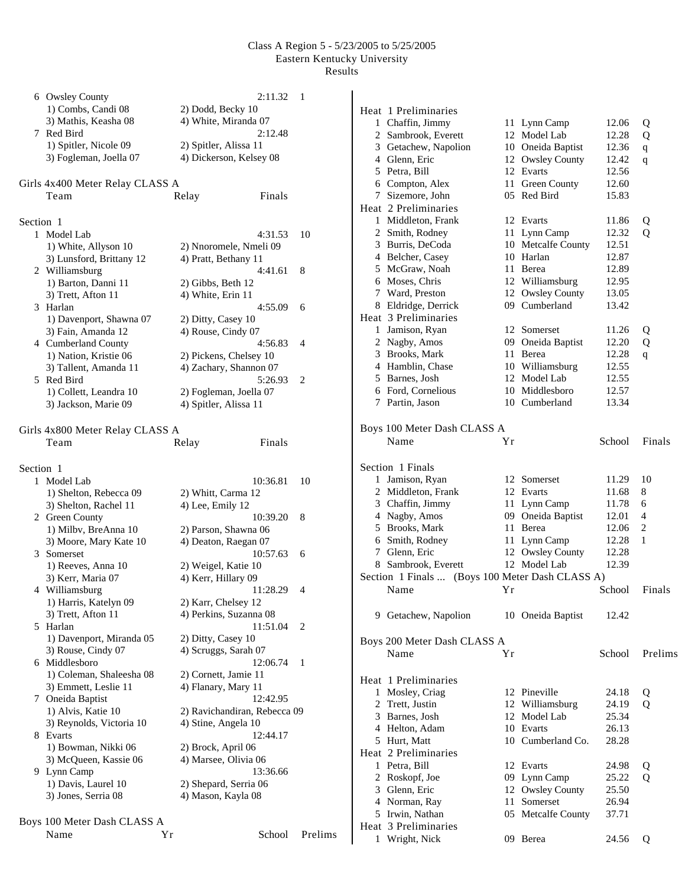|           | 6 Owsley County<br>1) Combs, Candi 08                                 | 2:11.32<br>2) Dodd, Becky 10                                | 1       |
|-----------|-----------------------------------------------------------------------|-------------------------------------------------------------|---------|
|           | 3) Mathis, Keasha 08<br>7 Red Bird                                    | 4) White, Miranda 07<br>2:12.48                             |         |
|           | 1) Spitler, Nicole 09<br>3) Fogleman, Joella 07                       | 2) Spitler, Alissa 11<br>4) Dickerson, Kelsey 08            |         |
|           | Girls 4x400 Meter Relay CLASS A<br>Team                               | Relay<br>Finals                                             |         |
|           |                                                                       |                                                             |         |
| Section 1 | 1 Model Lab                                                           | 4:31.53                                                     | 10      |
|           | 1) White, Allyson 10<br>3) Lunsford, Brittany 12                      | 2) Nnoromele, Nmeli 09<br>4) Pratt, Bethany 11              |         |
|           | 2 Williamsburg<br>1) Barton, Danni 11<br>3) Trett, Afton 11           | 4:41.61<br>2) Gibbs, Beth 12<br>4) White, Erin 11           | 8       |
|           | 3 Harlan                                                              | 4:55.09                                                     | 6       |
|           | 1) Davenport, Shawna 07<br>3) Fain, Amanda 12                         | 2) Ditty, Casey 10<br>4) Rouse, Cindy 07                    |         |
|           | 4 Cumberland County<br>1) Nation, Kristie 06<br>3) Tallent, Amanda 11 | 4:56.83<br>2) Pickens, Chelsey 10<br>4) Zachary, Shannon 07 | 4       |
| 5.        | Red Bird<br>1) Collett, Leandra 10<br>3) Jackson, Marie 09            | 5:26.93<br>2) Fogleman, Joella 07<br>4) Spitler, Alissa 11  | 2       |
|           |                                                                       |                                                             |         |
|           | Girls 4x800 Meter Relay CLASS A                                       |                                                             |         |
|           | Team                                                                  | Relay<br>Finals                                             |         |
| Section 1 |                                                                       |                                                             |         |
|           | 1 Model Lab                                                           | 10:36.81                                                    | 10      |
|           | 1) Shelton, Rebecca 09<br>3) Shelton, Rachel 11                       | 2) Whitt, Carma 12                                          |         |
|           | 2 Green County                                                        | 4) Lee, Emily 12<br>10:39.20                                | 8       |
|           | 1) Milbv, BreAnna 10                                                  | 2) Parson, Shawna 06                                        |         |
|           | 3) Moore, Mary Kate 10                                                | 4) Deaton, Raegan 07                                        |         |
|           | 3 Somerset                                                            | 10:57.63                                                    | 6       |
|           | 1) Reeves, Anna 10<br>3) Kerr, Maria 07                               | 2) Weigel, Katie 10<br>4) Kerr, Hillary 09                  |         |
|           | 4 Williamsburg                                                        | 11:28.29                                                    | 4       |
|           | 1) Harris, Katelyn 09                                                 | 2) Karr, Chelsey 12                                         |         |
|           | 3) Trett, Afton 11<br>5 Harlan                                        | 4) Perkins, Suzanna 08<br>11:51.04                          | 2       |
|           | 1) Davenport, Miranda 05                                              | 2) Ditty, Casey 10                                          |         |
|           | 3) Rouse, Cindy 07                                                    | 4) Scruggs, Sarah 07                                        |         |
|           | 6 Middlesboro                                                         | 12:06.74                                                    | 1       |
|           | 1) Coleman, Shaleesha 08                                              | 2) Cornett, Jamie 11                                        |         |
|           | 3) Emmett, Leslie 11<br>7 Oneida Baptist                              | 4) Flanary, Mary 11<br>12:42.95                             |         |
|           | 1) Alvis, Katie 10                                                    | 2) Ravichandiran, Rebecca 09                                |         |
|           | 3) Reynolds, Victoria 10                                              | 4) Stine, Angela 10                                         |         |
|           | 8 Evarts                                                              | 12:44.17                                                    |         |
|           | 1) Bowman, Nikki 06<br>3) McQueen, Kassie 06                          | 2) Brock, April 06<br>4) Marsee, Olivia 06                  |         |
|           | 9 Lynn Camp                                                           | 13:36.66                                                    |         |
|           | 1) Davis, Laurel 10                                                   | 2) Shepard, Serria 06                                       |         |
|           | 3) Jones, Serria 08                                                   | 4) Mason, Kayla 08                                          |         |
|           | Boys 100 Meter Dash CLASS A                                           |                                                             |         |
|           | Name<br>Υr                                                            | School                                                      | Prelims |
|           |                                                                       |                                                             |         |

|   | Heat 1 Preliminaries        |    |                               |        |             |
|---|-----------------------------|----|-------------------------------|--------|-------------|
|   | 1 Chaffin, Jimmy            |    | 11 Lynn Camp                  | 12.06  | Q           |
|   | 2 Sambrook, Everett         |    | 12 Model Lab                  | 12.28  | Q           |
|   | 3 Getachew, Napolion        |    | 10 Oneida Baptist             | 12.36  | $\mathbf q$ |
|   | 4 Glenn, Eric               |    | 12 Owsley County              | 12.42  | q           |
|   | 5 Petra, Bill               |    | 12 Evarts                     | 12.56  |             |
|   | 6 Compton, Alex             |    | 11 Green County               | 12.60  |             |
|   | 7 Sizemore, John            |    | 05 Red Bird                   | 15.83  |             |
|   | Heat 2 Preliminaries        |    |                               |        |             |
|   | 1 Middleton, Frank          |    | 12 Evarts                     | 11.86  | Q           |
|   | 2 Smith, Rodney             |    | 11 Lynn Camp                  | 12.32  | Q           |
|   | 3 Burris, DeCoda            |    | 10 Metcalfe County            | 12.51  |             |
|   | 4 Belcher, Casey            |    | 10 Harlan                     | 12.87  |             |
|   | 5 McGraw, Noah              |    | 11 Berea                      | 12.89  |             |
|   | 6 Moses, Chris              |    | 12 Williamsburg               | 12.95  |             |
|   | 7 Ward, Preston             |    | 12 Owsley County              | 13.05  |             |
|   | 8 Eldridge, Derrick         |    | 09 Cumberland                 | 13.42  |             |
|   | Heat 3 Preliminaries        |    |                               |        |             |
|   | 1 Jamison, Ryan             |    | 12 Somerset                   | 11.26  | Q           |
|   | 2 Nagby, Amos               |    | 09 Oneida Baptist             | 12.20  | Q           |
|   | 3 Brooks, Mark              |    | 11 Berea                      | 12.28  | q           |
|   | 4 Hamblin, Chase            |    | 10 Williamsburg               | 12.55  |             |
|   | 5 Barnes, Josh              |    | 12 Model Lab                  | 12.55  |             |
|   | 6 Ford, Cornelious          |    | 10 Middlesboro                | 12.57  |             |
|   | 7 Partin, Jason             | 10 | Cumberland                    | 13.34  |             |
|   |                             |    |                               |        |             |
|   | Boys 100 Meter Dash CLASS A |    |                               |        |             |
|   | Name                        | Yr |                               | School | Finals      |
|   |                             |    |                               |        |             |
|   | Section 1 Finals            |    |                               |        |             |
|   | 1 Jamison, Ryan             |    | 12 Somerset                   | 11.29  | 10          |
|   | 2 Middleton, Frank          |    | 12 Evarts                     | 11.68  | 8           |
|   | 3 Chaffin, Jimmy            |    | 11 Lynn Camp                  | 11.78  | 6           |
|   | 4 Nagby, Amos               |    | 09 Oneida Baptist             | 12.01  | 4           |
|   | 5 Brooks, Mark              |    | 11 Berea                      | 12.06  | 2           |
|   | 6 Smith, Rodney             |    | 11 Lynn Camp                  | 12.28  | 1           |
|   | 7 Glenn, Eric               |    | 12 Owsley County              | 12.28  |             |
|   | 8 Sambrook, Everett         | 12 | Model Lab                     | 12.39  |             |
|   | Section 1 Finals            |    | (Boys 100 Meter Dash CLASS A) |        |             |
|   | Name                        | Υr |                               | School | Finals      |
|   |                             |    |                               |        |             |
|   | 9 Getachew, Napolion        |    | 10 Oneida Baptist             | 12.42  |             |
|   |                             |    |                               |        |             |
|   | Boys 200 Meter Dash CLASS A |    |                               |        |             |
|   | Name                        | Υr |                               | School | Prelims     |
|   |                             |    |                               |        |             |
|   | Heat 1 Preliminaries        |    |                               |        |             |
|   | 1 Mosley, Criag             |    | 12 Pineville                  | 24.18  | Q           |
|   | 2 Trett. Justin             |    | 12 Williamsburg               | 24.19  | Q           |
|   | 3 Barnes, Josh              |    | 12 Model Lab                  | 25.34  |             |
|   | 4 Helton, Adam              |    | 10 Evarts                     | 26.13  |             |
|   | 5 Hurt, Matt                |    | 10 Cumberland Co.             | 28.28  |             |
|   | Heat 2 Preliminaries        |    |                               |        |             |
|   | 1 Petra, Bill               |    | 12 Evarts                     | 24.98  | Q           |
|   | 2 Roskopf, Joe              |    | 09 Lynn Camp                  | 25.22  | 0           |
|   | 3 Glenn, Eric               |    | 12 Owsley County              | 25.50  |             |
|   | 4 Norman, Ray               |    | 11 Somerset                   | 26.94  |             |
|   | 5 Irwin, Nathan             |    | 05 Metcalfe County            | 37.71  |             |
|   | Heat 3 Preliminaries        |    |                               |        |             |
| 1 | Wright, Nick                |    | 09 Berea                      | 24.56  | Q           |
|   |                             |    |                               |        |             |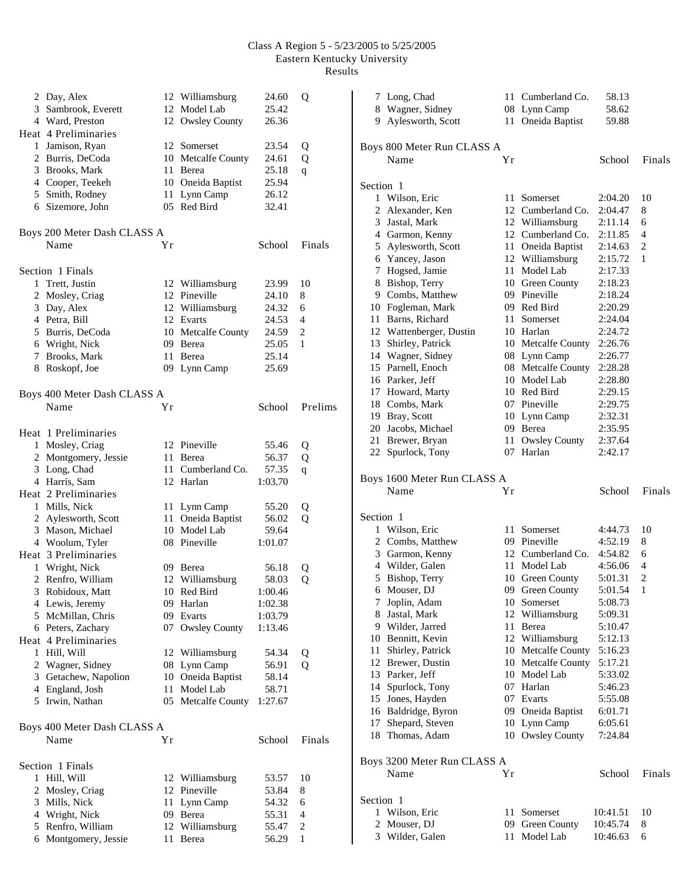| 2 | Day, Alex<br>3 Sambrook, Everett<br>4 Ward, Preston |                | 12 Williamsburg<br>12 Model Lab<br>12 Owsley County | 24.60<br>25.42<br>26.36 | Q              |
|---|-----------------------------------------------------|----------------|-----------------------------------------------------|-------------------------|----------------|
|   | Heat 4 Preliminaries                                |                |                                                     |                         |                |
|   | 1 Jamison, Ryan                                     |                | 12 Somerset                                         | 23.54                   | Q              |
|   | 2 Burris, DeCoda                                    |                | 10 Metcalfe County                                  | 24.61                   | Q              |
|   | 3 Brooks, Mark                                      | 11             | Berea                                               | 25.18                   | q              |
|   | 4 Cooper, Teekeh                                    |                | 10 Oneida Baptist                                   | 25.94                   |                |
|   | 5 Smith, Rodney                                     |                | 11 Lynn Camp                                        | 26.12                   |                |
|   | 6 Sizemore, John                                    |                | 05 Red Bird                                         | 32.41                   |                |
|   | Boys 200 Meter Dash CLASS A                         |                |                                                     |                         |                |
|   | Name                                                | Y <sub>r</sub> |                                                     | School                  | Finals         |
|   | Section 1 Finals                                    |                |                                                     |                         |                |
| 1 | Trett, Justin                                       |                | 12 Williamsburg                                     | 23.99                   | 10             |
|   | 2 Mosley, Criag                                     |                | 12 Pineville                                        | 24.10                   | 8              |
|   | 3 Day, Alex                                         |                | 12 Williamsburg                                     | 24.32                   | 6              |
|   | 4 Petra, Bill                                       |                | 12 Evarts                                           | 24.53                   | 4              |
|   | 5 Burris, DeCoda                                    |                | 10 Metcalfe County                                  | 24.59                   | $\overline{c}$ |
|   | 6 Wright, Nick                                      |                | 09 Berea                                            | 25.05                   | 1              |
|   | 7 Brooks, Mark                                      |                | 11 Berea                                            | 25.14                   |                |
|   | 8 Roskopf, Joe                                      |                | 09 Lynn Camp                                        | 25.69                   |                |
|   | Boys 400 Meter Dash CLASS A                         |                |                                                     |                         |                |
|   | Name                                                | Υr             |                                                     | School                  | Prelims        |
|   | Heat 1 Preliminaries                                |                |                                                     |                         |                |
|   | 1 Mosley, Criag                                     |                | 12 Pineville                                        | 55.46                   | Q              |
|   | 2 Montgomery, Jessie                                |                | 11 Berea                                            | 56.37                   | Q              |
|   | 3 Long, Chad                                        |                | 11 Cumberland Co.                                   | 57.35                   | $\mathbf q$    |
|   | 4 Harris, Sam                                       |                | 12 Harlan                                           | 1:03.70                 |                |
|   | Heat 2 Preliminaries                                |                |                                                     |                         |                |
|   | 1 Mills, Nick                                       |                | 11 Lynn Camp                                        | 55.20                   | Q              |
|   | 2 Aylesworth, Scott                                 |                | 11 Oneida Baptist                                   | 56.02                   | Q              |
|   | 3 Mason, Michael                                    |                | 10 Model Lab                                        | 59.64                   |                |
|   | 4 Woolum, Tyler                                     |                | 08 Pineville                                        | 1:01.07                 |                |
|   | Heat 3 Preliminaries                                |                |                                                     |                         |                |
| 1 | Wright, Nick                                        |                | 09 Berea                                            | 56.18                   | Q              |
|   | 2 Renfro, William                                   |                | 12 Williamsburg                                     | 58.03                   | Q              |
|   | 3 Robidoux, Matt                                    |                | 10 Red Bird                                         | 1:00.46                 |                |
|   | 4 Lewis, Jeremy                                     |                | 09 Harlan                                           | 1:02.38                 |                |
|   | 5 McMillan, Chris                                   | 09             | Evarts                                              | 1:03.79                 |                |
|   | 6 Peters, Zachary                                   | 07             | <b>Owsley County</b>                                | 1:13.46                 |                |
|   | Heat 4 Preliminaries                                |                |                                                     |                         |                |
|   | 1 Hill, Will                                        |                | 12 Williamsburg                                     | 54.34                   | Q              |
|   | 2 Wagner, Sidney                                    |                | 08 Lynn Camp                                        | 56.91                   | $\mathbf Q$    |
|   | 3 Getachew, Napolion                                |                | 10 Oneida Baptist                                   | 58.14                   |                |
|   | 4 England, Josh                                     | 11             | Model Lab                                           | 58.71                   |                |
|   | 5 Irwin, Nathan                                     |                | 05 Metcalfe County                                  | 1:27.67                 |                |
|   | Boys 400 Meter Dash CLASS A                         |                |                                                     |                         |                |
|   | Name                                                | Υr             |                                                     | School                  | Finals         |
|   | Section 1 Finals                                    |                |                                                     |                         |                |
|   | 1 Hill, Will                                        |                | 12 Williamsburg                                     | 53.57                   | 10             |
|   | 2 Mosley, Criag                                     |                | 12 Pineville                                        | 53.84                   | 8              |
|   | 3 Mills, Nick                                       | 11             | Lynn Camp                                           | 54.32                   | 6              |
|   | 4 Wright, Nick                                      |                | 09 Berea                                            | 55.31                   | $\overline{4}$ |
|   | 5 Renfro, William                                   | 12             | Williamsburg                                        | 55.47                   | 2              |
|   | 6 Montgomery, Jessie                                | 11             | Berea                                               | 56.29                   | 1              |

|           | 7 Long, Chad                           |     | 11 Cumberland Co.                    | 58.13              |        |
|-----------|----------------------------------------|-----|--------------------------------------|--------------------|--------|
|           | 8 Wagner, Sidney                       |     | 08 Lynn Camp                         | 58.62              |        |
| 9.        | Aylesworth, Scott                      | 11- | Oneida Baptist                       | 59.88              |        |
|           |                                        |     |                                      |                    |        |
|           | Boys 800 Meter Run CLASS A             |     |                                      |                    |        |
|           | Name                                   | Υr  |                                      | School             | Finals |
|           |                                        |     |                                      |                    |        |
| Section 1 |                                        |     |                                      |                    |        |
|           | 1 Wilson, Eric                         |     | 11 Somerset                          | 2:04.20            | 10     |
|           | 2 Alexander, Ken                       |     | 12 Cumberland Co.                    | 2:04.47            | 8      |
|           | 3 Jastal, Mark                         |     | 12 Williamsburg                      | 2:11.14            | 6      |
|           | 4 Garmon, Kenny                        |     | 12 Cumberland Co.                    | 2:11.85            | 4      |
|           | 5 Aylesworth, Scott<br>6 Yancey, Jason |     | 11 Oneida Baptist<br>12 Williamsburg | 2:14.63<br>2:15.72 | 2<br>1 |
| 7         | Hogsed, Jamie                          |     | 11 Model Lab                         | 2:17.33            |        |
|           | 8 Bishop, Terry                        |     | 10 Green County                      | 2:18.23            |        |
|           | 9 Combs, Matthew                       |     | 09 Pineville                         | 2:18.24            |        |
|           | 10 Fogleman, Mark                      |     | 09 Red Bird                          | 2:20.29            |        |
|           | 11 Barns, Richard                      |     | 11 Somerset                          | 2:24.04            |        |
|           | 12 Wattenberger, Dustin                |     | 10 Harlan                            | 2:24.72            |        |
|           | 13 Shirley, Patrick                    |     | 10 Metcalfe County                   | 2:26.76            |        |
|           | 14 Wagner, Sidney                      |     | 08 Lynn Camp                         | 2:26.77            |        |
|           | 15 Parnell, Enoch                      |     | 08 Metcalfe County                   | 2:28.28            |        |
|           | 16 Parker, Jeff                        |     | 10 Model Lab                         | 2:28.80            |        |
|           | 17 Howard, Marty                       |     | 10 Red Bird                          | 2:29.15            |        |
|           | 18 Combs, Mark                         |     | 07 Pineville                         | 2:29.75            |        |
|           | 19 Bray, Scott                         |     | 10 Lynn Camp                         | 2:32.31            |        |
|           | 20 Jacobs, Michael                     |     | 09 Berea                             | 2:35.95            |        |
|           | 21 Brewer, Bryan                       |     | 11 Owsley County                     | 2:37.64            |        |
|           | 22 Spurlock, Tony                      |     | 07 Harlan                            | 2:42.17            |        |
|           |                                        |     |                                      |                    |        |
|           |                                        |     |                                      |                    |        |
|           | Boys 1600 Meter Run CLASS A            |     |                                      |                    |        |
|           | Name                                   | Υr  |                                      | School             | Finals |
| Section 1 |                                        |     |                                      |                    |        |
| 1         | Wilson, Eric                           |     | 11 Somerset                          | 4:44.73            | 10     |
|           | 2 Combs, Matthew                       |     | 09 Pineville                         | 4:52.19            | 8      |
|           | 3 Garmon, Kenny                        |     | 12 Cumberland Co.                    | 4:54.82            | 6      |
|           | 4 Wilder, Galen                        |     | 11 Model Lab                         | 4:56.06            | 4      |
|           | 5 Bishop, Terry                        |     | 10 Green County                      | 5:01.31            | 2      |
|           | 6 Mouser, DJ                           |     | 09 Green County                      | 5:01.54            | $\,1$  |
| 7         | Joplin, Adam                           |     | 10 Somerset                          | 5:08.73            |        |
|           | 8 Jastal, Mark                         |     | 12 Williamsburg                      | 5:09.31            |        |
|           | 9 Wilder, Jarred                       |     | 11 Berea                             | 5:10.47            |        |
|           | 10 Bennitt, Kevin                      |     | 12 Williamsburg                      | 5:12.13            |        |
|           | 11 Shirley, Patrick                    |     | 10 Metcalfe County                   | 5:16.23            |        |
|           | 12 Brewer, Dustin                      |     | 10 Metcalfe County                   | 5:17.21            |        |
|           | 13 Parker, Jeff                        |     | 10 Model Lab                         | 5:33.02            |        |
|           | 14 Spurlock, Tony                      |     | 07 Harlan                            | 5:46.23            |        |
|           | 15 Jones, Hayden                       |     | 07 Evarts                            | 5:55.08            |        |
|           | 16 Baldridge, Byron                    |     | 09 Oneida Baptist                    | 6:01.71            |        |
|           | 17 Shepard, Steven                     |     | 10 Lynn Camp                         | 6:05.61            |        |
|           | 18 Thomas, Adam                        |     | 10 Owsley County                     | 7:24.84            |        |
|           |                                        |     |                                      |                    |        |
|           | Boys 3200 Meter Run CLASS A<br>Name    | Yr  |                                      | School             | Finals |
|           |                                        |     |                                      |                    |        |
| Section 1 |                                        |     |                                      |                    |        |
| 1         | Wilson, Eric                           |     | 11 Somerset                          | 10:41.51           | 10     |
| 2         | Mouser, DJ                             | 09  | Green County                         | 10:45.74           | 8      |
|           | 3 Wilder, Galen                        | 11  | Model Lab                            | 10:46.63           | 6      |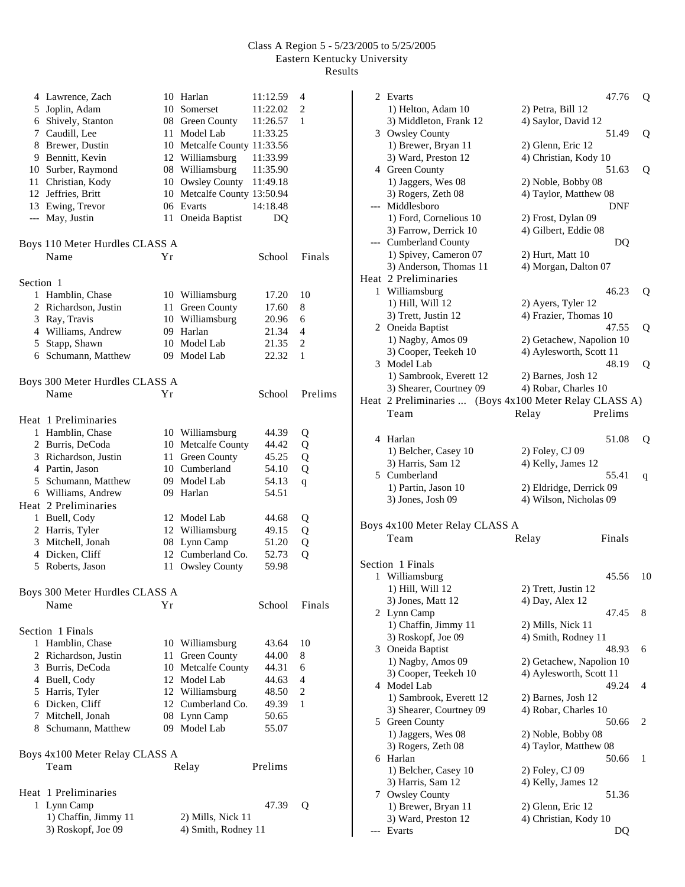|           | 4 Lawrence, Zach               |      | 10 Harlan                   | 11:12.59       | 4              |
|-----------|--------------------------------|------|-----------------------------|----------------|----------------|
|           | 5 Joplin, Adam                 |      | 10 Somerset                 | 11:22.02       | 2              |
|           | 6 Shively, Stanton             |      | 08 Green County             | 11:26.57       | $\mathbf{1}$   |
|           | 7 Caudill, Lee                 | 11   | Model Lab                   | 11:33.25       |                |
|           | 8 Brewer, Dustin               |      | 10 Metcalfe County 11:33.56 |                |                |
|           | 9 Bennitt, Kevin               |      | 12 Williamsburg             | 11:33.99       |                |
|           | 10 Surber, Raymond             |      | 08 Williamsburg             | 11:35.90       |                |
|           | 11 Christian, Kody             |      | 10 Owsley County            | 11:49.18       |                |
|           | 12 Jeffries, Britt             | 10   | Metcalfe County 13:50.94    |                |                |
|           | 13 Ewing, Trevor               |      | 06 Evarts                   | 14:18.48       |                |
| ---       | May, Justin                    | 11   | Oneida Baptist              | D <sub>O</sub> |                |
|           |                                |      |                             |                |                |
|           | Boys 110 Meter Hurdles CLASS A |      |                             |                |                |
|           | Name                           | Yr   |                             | School         | Finals         |
|           |                                |      |                             |                |                |
| Section 1 |                                |      |                             |                |                |
|           |                                |      |                             |                |                |
|           | 1 Hamblin, Chase               |      | 10 Williamsburg             | 17.20          | 10             |
|           | 2 Richardson, Justin           | 11   | Green County                | 17.60          | 8              |
|           | 3 Ray, Travis                  |      | 10 Williamsburg             | 20.96          | 6              |
|           | 4 Williams, Andrew             |      | 09 Harlan                   | 21.34          | $\overline{4}$ |
|           | 5 Stapp, Shawn                 |      | 10 Model Lab                | 21.35          | $\overline{2}$ |
|           | 6 Schumann, Matthew            |      | 09 Model Lab                | 22.32          | 1              |
|           |                                |      |                             |                |                |
|           | Boys 300 Meter Hurdles CLASS A |      |                             |                |                |
|           | Name                           | Υr   |                             | School         | Prelims        |
|           |                                |      |                             |                |                |
|           | Heat 1 Preliminaries           |      |                             |                |                |
|           | 1 Hamblin, Chase               |      | 10 Williamsburg             | 44.39          | Q              |
|           | 2 Burris, DeCoda               |      | 10 Metcalfe County          | 44.42          | Q              |
|           | 3 Richardson, Justin           | 11   | Green County                | 45.25          | Q              |
|           | 4 Partin, Jason                |      | 10 Cumberland               | 54.10          | Q              |
|           | 5 Schumann, Matthew            |      | 09 Model Lab                | 54.13          | $\mathbf q$    |
|           | 6 Williams, Andrew             |      | 09 Harlan                   | 54.51          |                |
|           | Heat 2 Preliminaries           |      |                             |                |                |
| 1         | Buell, Cody                    |      | 12 Model Lab                | 44.68          | Q              |
|           | 2 Harris, Tyler                |      | 12 Williamsburg             | 49.15          | Q              |
| 3         | Mitchell, Jonah                | 08   | Lynn Camp                   | 51.20          | Q              |
|           | 4 Dicken, Cliff                |      | 12 Cumberland Co.           | 52.73          | Q              |
|           | 5 Roberts, Jason               | 11   | Owsley County               | 59.98          |                |
|           |                                |      |                             |                |                |
|           | Boys 300 Meter Hurdles CLASS A |      |                             |                |                |
|           | Name                           | Υr   |                             | School         | Finals         |
|           |                                |      |                             |                |                |
|           |                                |      |                             |                |                |
|           | Section 1 Finals               |      |                             |                |                |
| 1         | Hamblin, Chase                 |      | 10 Williamsburg             | 43.64          | 10             |
| 2         | Richardson, Justin             | 11 - | Green County                | 44.00          | 8              |
|           | 3 Burris, DeCoda               |      | 10 Metcalfe County          | 44.31          | 6              |
|           | 4 Buell, Cody                  |      | 12 Model Lab                | 44.63          | 4              |
|           | 5 Harris, Tyler                |      | 12 Williamsburg             | 48.50          | 2              |
|           | 6 Dicken, Cliff                |      | 12 Cumberland Co.           | 49.39          | 1              |
|           | 7 Mitchell, Jonah              |      | 08 Lynn Camp                | 50.65          |                |
|           | 8 Schumann, Matthew            |      | 09 Model Lab                | 55.07          |                |
|           |                                |      |                             |                |                |
|           | Boys 4x100 Meter Relay CLASS A |      |                             |                |                |
|           | Team                           |      | Relay                       | Prelims        |                |
|           |                                |      |                             |                |                |
|           | Heat 1 Preliminaries           |      |                             |                |                |
|           | 1 Lynn Camp                    |      |                             | 47.39          | Q              |
|           | 1) Chaffin, Jimmy 11           |      | 2) Mills, Nick 11           |                |                |
|           | 3) Roskopf, Joe 09             |      | 4) Smith, Rodney 11         |                |                |

|     | 2 Evarts                                               |                          | 47.76  | Q  |
|-----|--------------------------------------------------------|--------------------------|--------|----|
|     | 1) Helton, Adam 10                                     | 2) Petra, Bill 12        |        |    |
|     | 3) Middleton, Frank 12                                 | 4) Saylor, David 12      |        |    |
|     | 3 Owsley County                                        |                          | 51.49  | Q  |
|     | 1) Brewer, Bryan 11                                    | 2) Glenn, Eric 12        |        |    |
|     | 3) Ward, Preston 12                                    | 4) Christian, Kody 10    |        |    |
|     | 4 Green County                                         |                          | 51.63  | Q  |
|     | 1) Jaggers, Wes 08                                     | 2) Noble, Bobby 08       |        |    |
|     | 3) Rogers, Zeth 08                                     | 4) Taylor, Matthew 08    |        |    |
| --- | Middlesboro                                            |                          | DNF    |    |
|     | 1) Ford, Cornelious 10                                 | 2) Frost, Dylan 09       |        |    |
|     | 3) Farrow, Derrick 10                                  | 4) Gilbert, Eddie 08     |        |    |
| --- | <b>Cumberland County</b>                               |                          | DQ     |    |
|     | 1) Spivey, Cameron 07                                  | 2) Hurt, Matt 10         |        |    |
|     | 3) Anderson, Thomas 11                                 | 4) Morgan, Dalton 07     |        |    |
|     | Heat 2 Preliminaries                                   |                          |        |    |
| 1   | Williamsburg                                           |                          | 46.23  | Q  |
|     | 1) Hill, Will 12                                       | 2) Ayers, Tyler 12       |        |    |
|     | 3) Trett, Justin 12                                    | 4) Frazier, Thomas 10    |        |    |
|     | 2 Oneida Baptist                                       |                          | 47.55  | Q  |
|     | 1) Nagby, Amos 09                                      | 2) Getachew, Napolion 10 |        |    |
|     | 3) Cooper, Teekeh 10                                   | 4) Aylesworth, Scott 11  |        |    |
| 3   | Model Lab                                              |                          | 48.19  | Q  |
|     | 1) Sambrook, Everett 12                                | 2) Barnes, Josh 12       |        |    |
|     | 3) Shearer, Courtney 09                                | 4) Robar, Charles 10     |        |    |
|     | Heat 2 Preliminaries  (Boys 4x100 Meter Relay CLASS A) |                          |        |    |
|     | Team                                                   | Prelims<br>Relay         |        |    |
|     |                                                        |                          |        |    |
|     | 4 Harlan                                               |                          | 51.08  | Q  |
|     | 1) Belcher, Casey 10                                   | 2) Foley, CJ 09          |        |    |
|     | 3) Harris, Sam 12                                      | 4) Kelly, James 12       |        |    |
|     |                                                        |                          |        |    |
|     | 5 Cumberland                                           |                          | 55.41  | q  |
|     | 1) Partin, Jason 10                                    | 2) Eldridge, Derrick 09  |        |    |
|     | 3) Jones, Josh 09                                      | 4) Wilson, Nicholas 09   |        |    |
|     |                                                        |                          |        |    |
|     | Boys 4x100 Meter Relay CLASS A                         |                          |        |    |
|     | Team                                                   | Relay                    | Finals |    |
|     |                                                        |                          |        |    |
|     | Section 1 Finals                                       |                          |        |    |
| 1   | Williamsburg                                           |                          | 45.56  | 10 |
|     | 1) Hill, Will 12                                       | 2) Trett, Justin 12      |        |    |
|     | 3) Jones, Matt 12                                      | 4) Day, Alex 12          |        |    |
| 2   | Lynn Camp                                              |                          | 47.45  | 8  |
|     | 1) Chaffin, Jimmy 11                                   | 2) Mills, Nick 11        |        |    |
|     | 3) Roskopf, Joe 09                                     | 4) Smith, Rodney 11      |        |    |
| 3   | Oneida Baptist                                         |                          | 48.93  | 6  |
|     | 1) Nagby, Amos 09                                      | 2) Getachew, Napolion 10 |        |    |
|     | 3) Cooper, Teekeh 10                                   | 4) Aylesworth, Scott 11  |        |    |
| 4   | Model Lab                                              |                          | 49.24  | 4  |
|     | 1) Sambrook, Everett 12                                | 2) Barnes, Josh 12       |        |    |
|     | 3) Shearer, Courtney 09                                | 4) Robar, Charles 10     |        |    |
| 5   | Green County                                           |                          | 50.66  | 2  |
|     | 1) Jaggers, Wes 08                                     | 2) Noble, Bobby 08       |        |    |
|     | 3) Rogers, Zeth 08                                     | 4) Taylor, Matthew 08    |        |    |
|     | 6 Harlan                                               |                          | 50.66  | 1  |
|     | 1) Belcher, Casey 10                                   | 2) Foley, CJ 09          |        |    |
|     | 3) Harris, Sam 12                                      | 4) Kelly, James 12       |        |    |
| 7   | <b>Owsley County</b>                                   |                          | 51.36  |    |
|     | 1) Brewer, Bryan 11                                    | 2) Glenn, Eric 12        |        |    |
|     | 3) Ward, Preston 12<br>Evarts                          | 4) Christian, Kody 10    | DQ     |    |